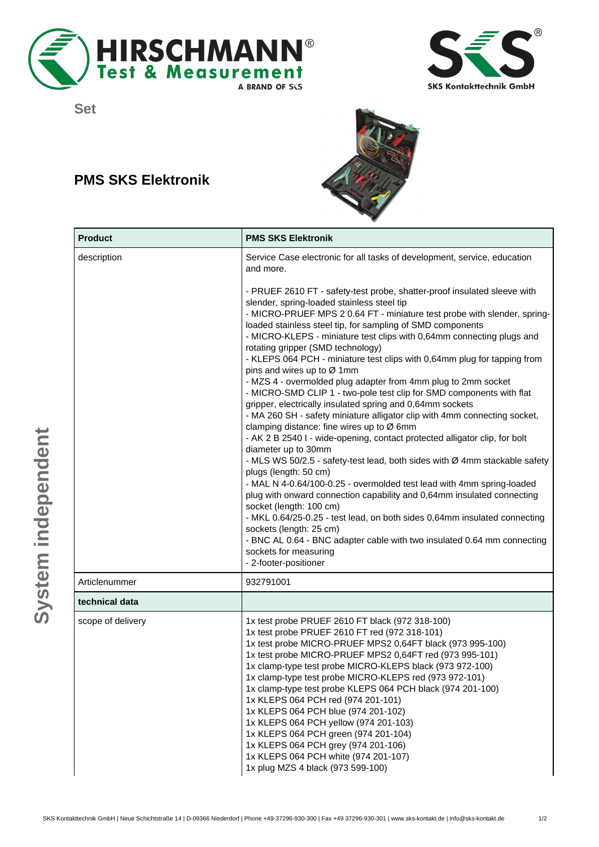





## **PMS SKS Elektronik**



| <b>Product</b>    | <b>PMS SKS Elektronik</b>                                                                                                                                                                                                                                                                                                                                                                                                                                                                                                                                                                                                                                                                                                                                                                                                                                                                                                                                                                                                                                                                                                                                                                                                                                                                                                                                                                                                                               |
|-------------------|---------------------------------------------------------------------------------------------------------------------------------------------------------------------------------------------------------------------------------------------------------------------------------------------------------------------------------------------------------------------------------------------------------------------------------------------------------------------------------------------------------------------------------------------------------------------------------------------------------------------------------------------------------------------------------------------------------------------------------------------------------------------------------------------------------------------------------------------------------------------------------------------------------------------------------------------------------------------------------------------------------------------------------------------------------------------------------------------------------------------------------------------------------------------------------------------------------------------------------------------------------------------------------------------------------------------------------------------------------------------------------------------------------------------------------------------------------|
| description       | Service Case electronic for all tasks of development, service, education<br>and more.                                                                                                                                                                                                                                                                                                                                                                                                                                                                                                                                                                                                                                                                                                                                                                                                                                                                                                                                                                                                                                                                                                                                                                                                                                                                                                                                                                   |
|                   | - PRUEF 2610 FT - safety-test probe, shatter-proof insulated sleeve with<br>slender, spring-loaded stainless steel tip<br>- MICRO-PRUEF MPS 2 0.64 FT - miniature test probe with slender, spring-<br>loaded stainless steel tip, for sampling of SMD components<br>- MICRO-KLEPS - miniature test clips with 0,64mm connecting plugs and<br>rotating gripper (SMD technology)<br>- KLEPS 064 PCH - miniature test clips with 0,64mm plug for tapping from<br>pins and wires up to Ø 1mm<br>- MZS 4 - overmolded plug adapter from 4mm plug to 2mm socket<br>- MICRO-SMD CLIP 1 - two-pole test clip for SMD components with flat<br>gripper, electrically insulated spring and 0,64mm sockets<br>- MA 260 SH - safety miniature alligator clip with 4mm connecting socket,<br>clamping distance: fine wires up to Ø 6mm<br>- AK 2 B 2540 I - wide-opening, contact protected alligator clip, for bolt<br>diameter up to 30mm<br>- MLS WS 50/2.5 - safety-test lead, both sides with Ø 4mm stackable safety<br>plugs (length: 50 cm)<br>- MAL N 4-0.64/100-0.25 - overmolded test lead with 4mm spring-loaded<br>plug with onward connection capability and 0,64mm insulated connecting<br>socket (length: 100 cm)<br>- MKL 0.64/25-0.25 - test lead, on both sides 0,64mm insulated connecting<br>sockets (length: 25 cm)<br>- BNC AL 0.64 - BNC adapter cable with two insulated 0.64 mm connecting<br>sockets for measuring<br>- 2-footer-positioner |
| Articlenummer     | 932791001                                                                                                                                                                                                                                                                                                                                                                                                                                                                                                                                                                                                                                                                                                                                                                                                                                                                                                                                                                                                                                                                                                                                                                                                                                                                                                                                                                                                                                               |
| technical data    |                                                                                                                                                                                                                                                                                                                                                                                                                                                                                                                                                                                                                                                                                                                                                                                                                                                                                                                                                                                                                                                                                                                                                                                                                                                                                                                                                                                                                                                         |
| scope of delivery | 1x test probe PRUEF 2610 FT black (972 318-100)<br>1x test probe PRUEF 2610 FT red (972 318-101)<br>1x test probe MICRO-PRUEF MPS2 0,64FT black (973 995-100)<br>1x test probe MICRO-PRUEF MPS2 0,64FT red (973 995-101)<br>1x clamp-type test probe MICRO-KLEPS black (973 972-100)<br>1x clamp-type test probe MICRO-KLEPS red (973 972-101)<br>1x clamp-type test probe KLEPS 064 PCH black (974 201-100)<br>1x KLEPS 064 PCH red (974 201-101)<br>1x KLEPS 064 PCH blue (974 201-102)<br>1x KLEPS 064 PCH yellow (974 201-103)<br>1x KLEPS 064 PCH green (974 201-104)<br>1x KLEPS 064 PCH grey (974 201-106)<br>1x KLEPS 064 PCH white (974 201-107)<br>1x plug MZS 4 black (973 599-100)                                                                                                                                                                                                                                                                                                                                                                                                                                                                                                                                                                                                                                                                                                                                                          |